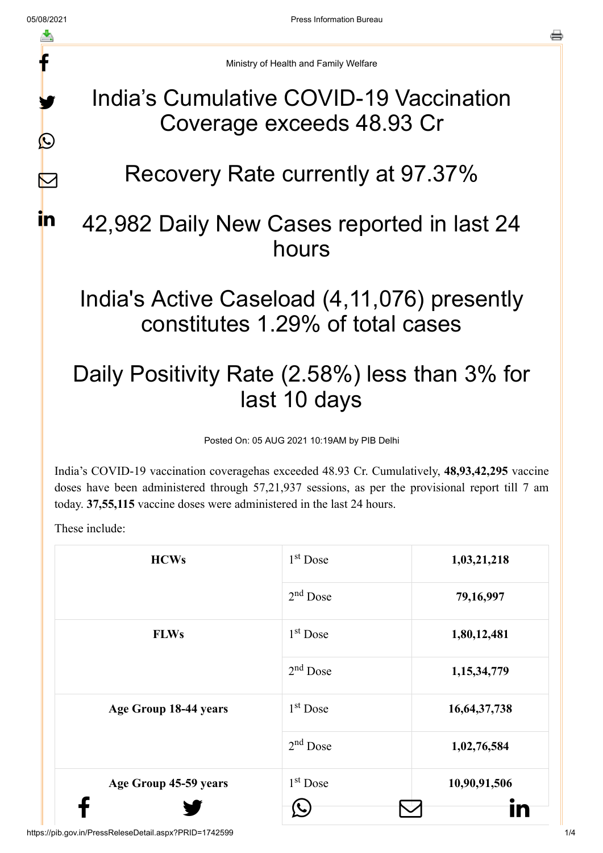# f y.  $\bigcirc$

 $\nabla$ 

in.

India's Cumulative COVID-19 Vaccination Coverage exceeds 48.93 Cr

### Recovery Rate currently at 97.37%

#### 42,982 Daily New Cases reported in last 24 hours

#### India's Active Caseload (4,11,076) presently constitutes 1.29% of total cases

## Daily Positivity Rate (2.58%) less than 3% for last 10 days

Posted On: 05 AUG 2021 10:19AM by PIB Delhi

India's COVID-19 vaccination coveragehas exceeded 48.93 Cr. Cumulatively, **48,93,42,295** vaccine doses have been administered through 57,21,937 sessions, as per the provisional report till 7 am today. **37,55,115** vaccine doses were administered in the last 24 hours.

These include:

| <b>HCWs</b>           | $1st$ Dose           | 1,03,21,218     |
|-----------------------|----------------------|-----------------|
|                       | $2nd$ Dose           | 79,16,997       |
| <b>FLWs</b>           | 1 <sup>st</sup> Dose | 1,80,12,481     |
|                       | $2nd$ Dose           | 1,15,34,779     |
| Age Group 18-44 years | 1 <sup>st</sup> Dose | 16, 64, 37, 738 |
|                       | $2nd$ Dose           | 1,02,76,584     |
| Age Group 45-59 years | $1st$ Dose           | 10,90,91,506    |
|                       |                      |                 |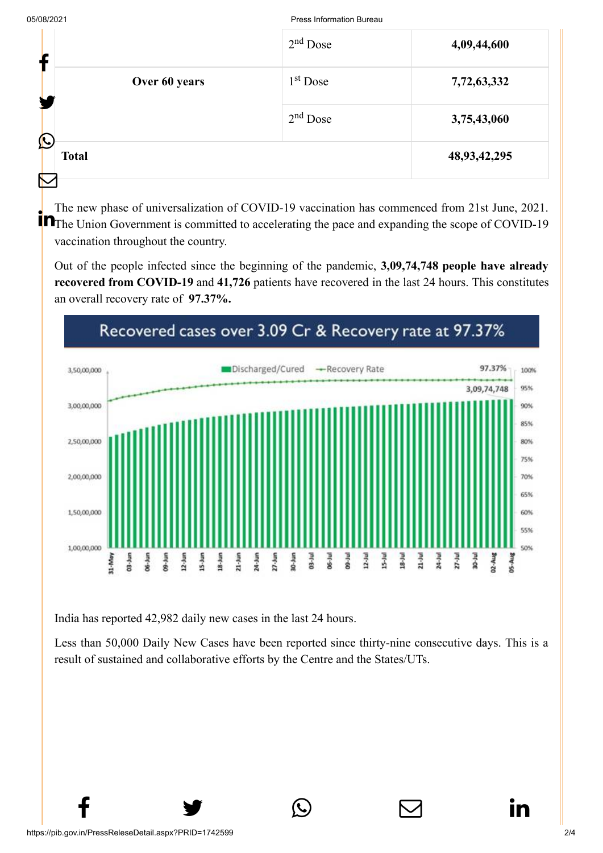#### 05/08/2021 Press Information Bureau

|                             | $2nd$ Dose | 4,09,44,600     |
|-----------------------------|------------|-----------------|
| Over 60 years               | $1st$ Dose | 7,72,63,332     |
|                             | $2nd$ Dose | 3,75,43,060     |
| $\mathbf C$<br><b>Total</b> |            | 48, 93, 42, 295 |
|                             |            |                 |

The new phase of universalization of COVID-19 vaccination has commenced from 21st June, 2021. The Union Government is committed to accelerating the pace and expanding the scope of COVID-19 vaccination throughout the country.

Out of the people infected since the beginning of the pandemic, **3,09,74,748 people have already recovered from COVID-19** and **41,726** patients have recovered in the last 24 hours. This constitutes an overall recovery rate of **97.37%.**



India has reported 42,982 daily new cases in the last 24 hours.

Less than 50,000 Daily New Cases have been reported since thirty-nine consecutive days. This is a result of sustained and collaborative efforts by the Centre and the States/UTs.

 $f \qquad \qquad \bullet \qquad \circledcirc \qquad \qquad \circledcirc$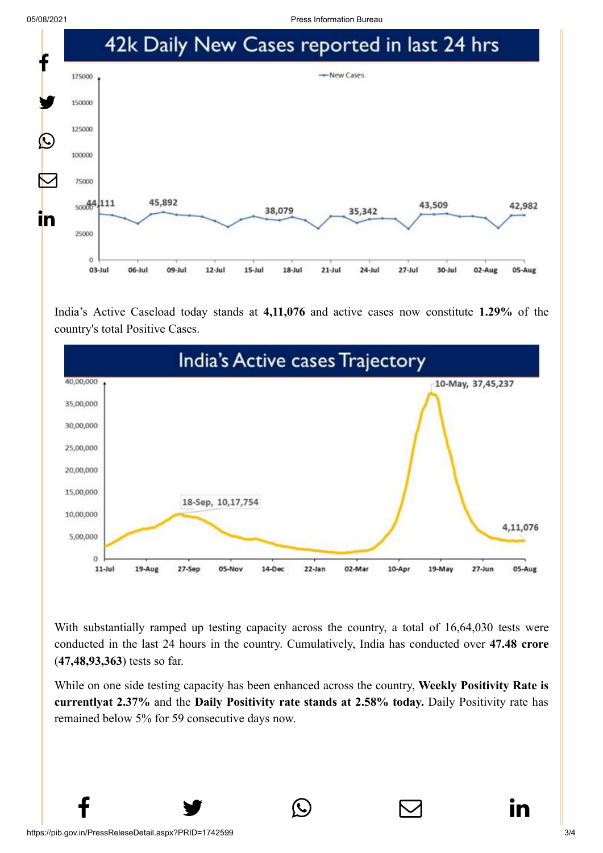05/08/2021 Press Information Bureau



India's Active Caseload today stands at **4,11,076** and active cases now constitute **1.29%** of the country's total Positive Cases.



With substantially ramped up testing capacity across the country, a total of 16,64,030 tests were conducted in the last 24 hours in the country. Cumulatively, India has conducted over **47.48 crore** (**47,48,93,363**) tests so far.

While on one side testing capacity has been enhanced across the country, **Weekly Positivity Rate is currentlyat 2.37%** and the **Daily Positivity rate stands at 2.58% today.** Daily Positivity rate has remained below 5% for 59 consecutive days now.

 $f \qquad \qquad \bullet \qquad \circlearrowright \qquad \qquad \circlearrowright \qquad \qquad \bullet$